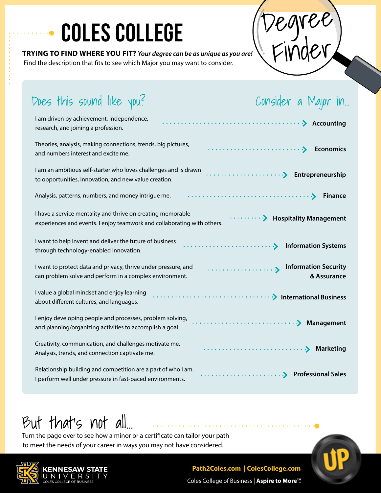# **COLES COLLEGE** (Degree)

**TRYING TO FIND WHERE YOU FIT?** *Your degree can be as unique as you are!* Find the description that fits to see which Major you may want to consider.

Finder

| Does this sound like you?<br>Consider a Major in                                                                                                                        |
|-------------------------------------------------------------------------------------------------------------------------------------------------------------------------|
| I am driven by achievement, independence,<br>research, and joining a profession.                                                                                        |
| Theories, analysis, making connections, trends, big pictures,<br><b>Economics</b><br>and numbers interest and excite me.                                                |
| I am an ambitious self-starter who loves challenges and is drawn<br>Entrepreneurship<br>to opportunities, innovation, and new value creation.                           |
| Analysis, patterns, numbers, and money intrigue me.<br><b>Finance</b>                                                                                                   |
| I have a service mentality and thrive on creating memorable<br><b>Hospitality Management</b><br>experiences and events. I enjoy teamwork and collaborating with others. |
| I want to help invent and deliver the future of business<br><b>Information Systems</b><br>through technology-enabled innovation.                                        |
| I want to protect data and privacy, thrive under pressure, and<br><b>Information Security</b><br>& Assurance<br>can problem solve and perform in a complex environment. |
| I value a global mindset and enjoy learning<br>about different cultures, and languages.                                                                                 |
| I enjoy developing people and processes, problem solving,<br>Management<br>and planning/organizing activities to accomplish a goal.                                     |
| Creativity, communication, and challenges motivate me.<br><b>Marketing</b><br>Analysis, trends, and connection captivate me.                                            |
| Relationship building and competition are a part of who I am.<br>I perform well under pressure in fast-paced environments.                                              |

# But that's not all…

Turn the page over to see how a minor or a certificate can tailor your path to meet the needs of your career in ways you may not have considered.



## **Path2Coles.com | ColesCollege.com**

Coles College of Business | **Aspire to More™.**